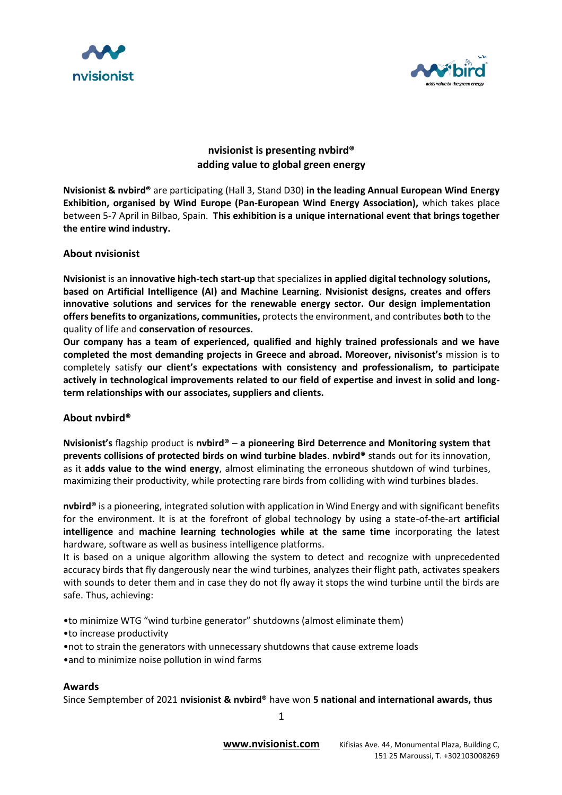



# **nvisionist is presenting nvbird®️ adding value to global green energy**

**Nvisionist & nvbird®️** are participating (Hall 3, Stand D30) **in the leading Annual European Wind Energy Exhibition, organised by Wind Europe (Pan-European Wind Energy Association),** which takes place between 5-7 April in Bilbao, Spain. **This exhibition is a unique international event that brings together the entire wind industry.**

## **About nvisionist**

**Nvisionist** is an **innovative high-tech start-up** that specializes **in applied digital technology solutions, based on Artificial Intelligence (AI) and Machine Learning**. **Nvisionist designs, creates and offers innovative solutions and services for the renewable energy sector. Our design implementation offers benefits to organizations, communities,** protects the environment, and contributes **both** to the quality of life and **conservation of resources.** 

**Our company has a team of experienced, qualified and highly trained professionals and we have completed the most demanding projects in Greece and abroad. Moreover, nivisonist's** mission is to completely satisfy **our client's expectations with consistency and professionalism, to participate actively in technological improvements related to our field of expertise and invest in solid and longterm relationships with our associates, suppliers and clients.**

## **About nvbird®️**

**Nvisionist's** flagship product is **nvbird®️** – **a pioneering Bird Deterrence and Monitoring system that prevents collisions of protected birds on wind turbine blades**. **nvbird®️** stands out for its innovation, as it **adds value to the wind energy**, almost eliminating the erroneous shutdown of wind turbines, maximizing their productivity, while protecting rare birds from colliding with wind turbines blades.

**nvbird®️** is a pioneering, integrated solution with application in Wind Energy and with significant benefits for the environment. It is at the forefront of global technology by using a state-of-the-art **artificial intelligence** and **machine learning technologies while at the same time** incorporating the latest hardware, software as well as business intelligence platforms.

It is based on a unique algorithm allowing the system to detect and recognize with unprecedented accuracy birds that fly dangerously near the wind turbines, analyzes their flight path, activates speakers with sounds to deter them and in case they do not fly away it stops the wind turbine until the birds are safe. Thus, achieving:

•to minimize WTG "wind turbine generator" shutdowns (almost eliminate them)

- •to increase productivity
- •not to strain the generators with unnecessary shutdowns that cause extreme loads
- •and to minimize noise pollution in wind farms

## **Awards**

Since Semptember of 2021 **nvisionist & nvbird®️** have won **5 national and international awards, thus**

1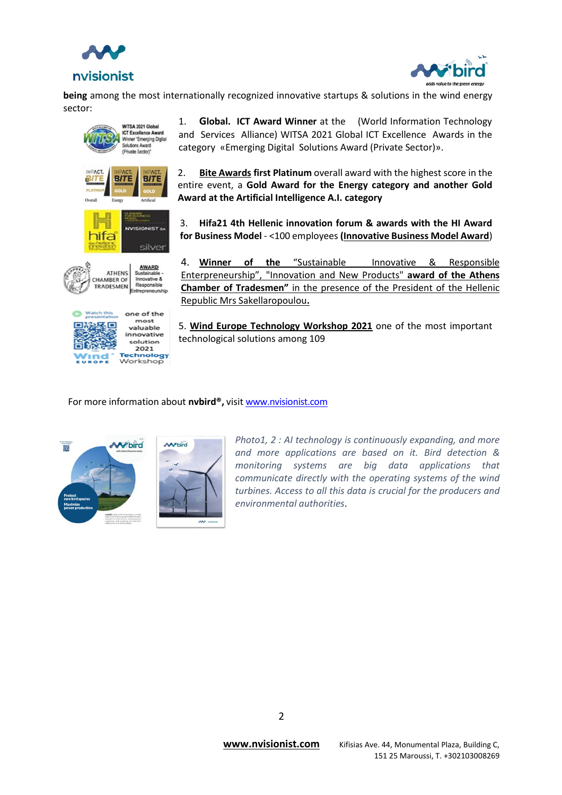



**being** among the most internationally recognized innovative startups & solutions in the wind energy sector:





1. **Global. ICT Award Winner** at the (World Information Technology and Services Alliance) [WITSA 2021 Global ICT Excellence Awards](https://witsa.org/global-ict-excellence-awards-2021-2/) in the category «Emerging Digital Solutions Award (Private Sector)».

2. **[Bite Awards](https://www.businessitawards.gr/) first Platinum** overall award with the highest score in the entire event, a **Gold Award for the Energy category and another Gold Award at the Artificial Intelligence A.I. category**

3. **Hifa21 4th Hellenic innovation forum & awards with the HI Award for Business Model** - <100 employees **[\(Innovative Business Model Award](https://ethosevents.eu/event/hellenic-innovation-forum-amp-awards-2021/)**)

4. **Winner of the** "Sustainable Innovative & Responsible Enterpreneurship", "Innovation and New Products" **award of the Athens Chamber of Tradesmen"** in the presence of the President of the Hellenic Republic Mrs Sakellaropoulou**.**

5. **[Wind Europe Technology Workshop 2021](https://www.youtube.com/watch?v=Eaga1EQ9zds)** one of the most important technological solutions among 109

#### For more information about **nvbird®️,** visit [www.nvisionist.com](https://nvisionist.com/)



*Photo1, 2 : AI technology is continuously expanding, and more and more applications are based on it. Bird detection & monitoring systems are big data applications that communicate directly with the operating systems of the wind turbines. Access to all this data is crucial for the producers and environmental authorities*.